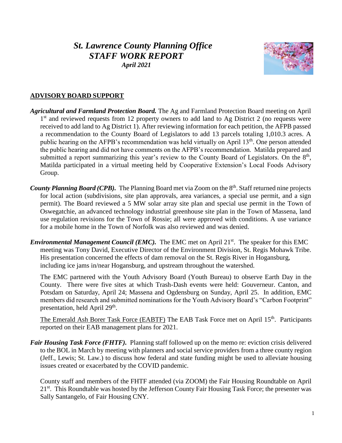# *St. Lawrence County Planning Office STAFF WORK REPORT April 2021*



## **ADVISORY BOARD SUPPORT**

- *Agricultural and Farmland Protection Board.* The Ag and Farmland Protection Board meeting on April 1<sup>st</sup> and reviewed requests from 12 property owners to add land to Ag District 2 (no requests were received to add land to Ag District 1). After reviewing information for each petition, the AFPB passed a recommendation to the County Board of Legislators to add 13 parcels totaling 1,010.3 acres. A public hearing on the AFPB's recommendation was held virtually on April 13<sup>th</sup>. One person attended the public hearing and did not have comments on the AFPB's recommendation. Matilda prepared and submitted a report summarizing this year's review to the County Board of Legislators. On the  $8<sup>th</sup>$ , Matilda participated in a virtual meeting held by Cooperative Extension's Local Foods Advisory Group.
- County Planning Board (CPB). The Planning Board met via Zoom on the 8<sup>th</sup>. Staff returned nine projects for local action (subdivisions, site plan approvals, area variances, a special use permit, and a sign permit). The Board reviewed a 5 MW solar array site plan and special use permit in the Town of Oswegatchie, an advanced technology industrial greenhouse site plan in the Town of Massena, land use regulation revisions for the Town of Rossie; all were approved with conditions. A use variance for a mobile home in the Town of Norfolk was also reviewed and was denied.
- *Environmental Management Council (EMC)*. The EMC met on April 21<sup>st</sup>. The speaker for this EMC meeting was Tony David, Executive Director of the Environment Division, St. Regis Mohawk Tribe. His presentation concerned the effects of dam removal on the St. Regis River in Hogansburg, including ice jams in/near Hogansburg, and upstream throughout the watershed.

The EMC partnered with the Youth Advisory Board (Youth Bureau) to observe Earth Day in the County. There were five sites at which Trash-Dash events were held: Gouverneur. Canton, and Potsdam on Saturday, April 24; Massena and Ogdensburg on Sunday, April 25. In addition, EMC members did research and submitted nominations for the Youth Advisory Board's "Carbon Footprint" presentation, held April 29<sup>th</sup>.

The Emerald Ash Borer Task Force (EABTF) The EAB Task Force met on April 15<sup>th</sup>. Participants reported on their EAB management plans for 2021.

*Fair Housing Task Force (FHTF).* Planning staff followed up on the memo re: eviction crisis delivered to the BOL in March by meeting with planners and social service providers from a three county region (Jeff., Lewis; St. Law.) to discuss how federal and state funding might be used to alleviate housing issues created or exacerbated by the COVID pandemic.

County staff and members of the FHTF attended (via ZOOM) the Fair Housing Roundtable on April 21<sup>st</sup>. This Roundtable was hosted by the Jefferson County Fair Housing Task Force; the presenter was Sally Santangelo, of Fair Housing CNY.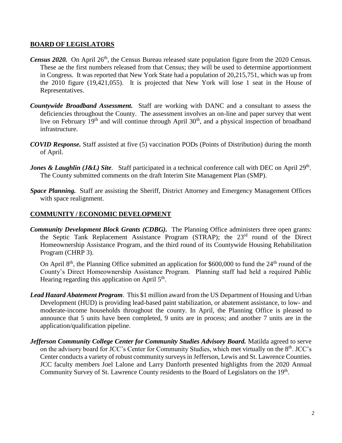#### **BOARD OF LEGISLATORS**

- *Census 2020.* On April 26<sup>th</sup>, the Census Bureau released state population figure from the 2020 Census. These ae the first numbers released from that Census; they will be used to determine apportionment in Congress. It was reported that New York State had a population of 20,215,751, which was up from the 2010 figure (19,421,055). It is projected that New York will lose 1 seat in the House of Representatives.
- *Countywide Broadband Assessment.* Staff are working with DANC and a consultant to assess the deficiencies throughout the County. The assessment involves an on-line and paper survey that went live on February 19<sup>th</sup> and will continue through April 30<sup>th</sup>, and a physical inspection of broadband infrastructure.
- *COVID Response.* Staff assisted at five (5) vaccination PODs (Points of Distribution) during the month of April.
- *Jones & Laughlin (J&L) Site.* Staff participated in a technical conference call with DEC on April 29<sup>th</sup>. The County submitted comments on the draft Interim Site Management Plan (SMP).
- *Space Planning.* Staff are assisting the Sheriff, District Attorney and Emergency Management Offices with space realignment.

#### **COMMUNITY / ECONOMIC DEVELOPMENT**

*Community Development Block Grants (CDBG).* The Planning Office administers three open grants: the Septic Tank Replacement Assistance Program (STRAP); the 23<sup>rd</sup> round of the Direct Homeownership Assistance Program, and the third round of its Countywide Housing Rehabilitation Program (CHRP 3).

On April  $8<sup>th</sup>$ , the Planning Office submitted an application for \$600,000 to fund the  $24<sup>th</sup>$  round of the County's Direct Homeownership Assistance Program. Planning staff had held a required Public Hearing regarding this application on April 5<sup>th</sup>.

- *Lead Hazard Abatement Program*. This \$1 million award from the US Department of Housing and Urban Development (HUD) is providing lead-based paint stabilization, or abatement assistance, to low- and moderate-income households throughout the county. In April, the Planning Office is pleased to announce that 5 units have been completed, 9 units are in process; and another 7 units are in the application/qualification pipeline.
- Jefferson Community College Center for Community Studies Advisory Board. Matilda agreed to serve on the advisory board for JCC's Center for Community Studies, which met virtually on the 8<sup>th</sup>. JCC's Center conducts a variety of robust community surveys in Jefferson, Lewis and St. Lawrence Counties. JCC faculty members Joel Lalone and Larry Danforth presented highlights from the 2020 Annual Community Survey of St. Lawrence County residents to the Board of Legislators on the 19<sup>th</sup>.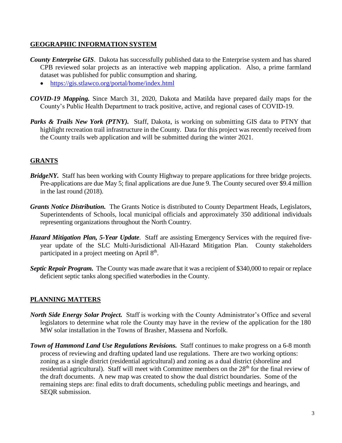## **GEOGRAPHIC INFORMATION SYSTEM**

- *County Enterprise GIS*. Dakota has successfully published data to the Enterprise system and has shared CPB reviewed solar projects as an interactive web mapping application. Also, a prime farmland dataset was published for public consumption and sharing.
	- <https://gis.stlawco.org/portal/home/index.html>
- *COVID-19 Mapping.* Since March 31, 2020, Dakota and Matilda have prepared daily maps for the County's Public Health Department to track positive, active, and regional cases of COVID-19.
- **Parks & Trails New York (PTNY).** Staff, Dakota, is working on submitting GIS data to PTNY that highlight recreation trail infrastructure in the County. Data for this project was recently received from the County trails web application and will be submitted during the winter 2021.

# **GRANTS**

- *BridgeNY.* Staff has been working with County Highway to prepare applications for three bridge projects. Pre-applications are due May 5; final applications are due June 9. The County secured over \$9.4 million in the last round (2018).
- *Grants Notice Distribution.* The Grants Notice is distributed to County Department Heads, Legislators, Superintendents of Schools, local municipal officials and approximately 350 additional individuals representing organizations throughout the North Country.
- *Hazard Mitigation Plan, 5-Year Update*. Staff are assisting Emergency Services with the required fiveyear update of the SLC Multi-Jurisdictional All-Hazard Mitigation Plan. County stakeholders participated in a project meeting on April 8<sup>th</sup>.
- *Septic Repair Program.* The County was made aware that it was a recipient of \$340,000 to repair or replace deficient septic tanks along specified waterbodies in the County.

### **PLANNING MATTERS**

- *North Side Energy Solar Project.* Staff is working with the County Administrator's Office and several legislators to determine what role the County may have in the review of the application for the 180 MW solar installation in the Towns of Brasher, Massena and Norfolk.
- *Town of Hammond Land Use Regulations Revisions.* Staff continues to make progress on a 6-8 month process of reviewing and drafting updated land use regulations. There are two working options: zoning as a single district (residential agricultural) and zoning as a dual district (shoreline and residential agricultural). Staff will meet with Committee members on the 28<sup>th</sup> for the final review of the draft documents. A new map was created to show the dual district boundaries. Some of the remaining steps are: final edits to draft documents, scheduling public meetings and hearings, and SEQR submission.